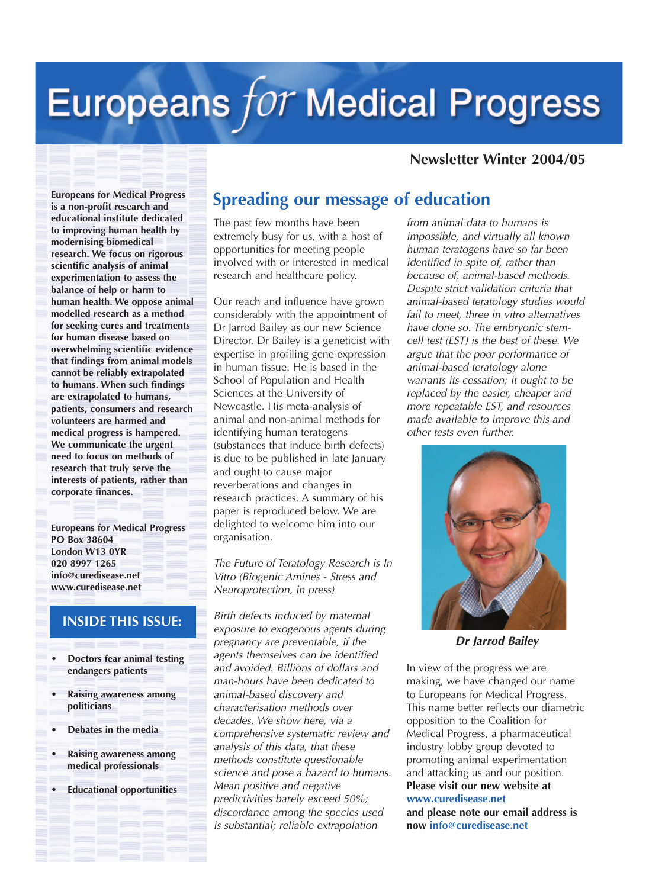# Europeans for Medical Progress

#### **Newsletter Winter 2004/05**

**Europeans for Medical Progress is a non-profit research and educational institute dedicated to improving human health by modernising biomedical research. We focus on rigorous scientific analysis of animal experimentation to assess the balance of help or harm to human health. We oppose animal modelled research as a method for seeking cures and treatments for human disease based on overwhelming scientific evidence that findings from animal models cannot be reliably extrapolated to humans. When such findings are extrapolated to humans, patients, consumers and research volunteers are harmed and medical progress is hampered. We communicate the urgent need to focus on methods of research that truly serve the interests of patients, rather than corporate finances.**

**Europeans for Medical Progress PO Box 38604 London W13 0YR 020 8997 1265 info@curedisease.net www.curedisease.net**

#### **INSIDE THIS ISSUE:**

- **Doctors fear animal testing endangers patients**
- **Raising awareness among politicians**
- **Debates in the media**
- **Raising awareness among medical professionals**
- **Educational opportunities**

## **Spreading our message of education**

The past few months have been extremely busy for us, with a host of opportunities for meeting people involved with or interested in medical research and healthcare policy.

Our reach and influence have grown considerably with the appointment of Dr Jarrod Bailey as our new Science Director. Dr Bailey is a geneticist with expertise in profiling gene expression in human tissue. He is based in the School of Population and Health Sciences at the University of Newcastle. His meta-analysis of animal and non-animal methods for identifying human teratogens (substances that induce birth defects) is due to be published in late January and ought to cause major reverberations and changes in research practices. A summary of his paper is reproduced below. We are delighted to welcome him into our organisation.

*The Future of Teratology Research is In Vitro (Biogenic Amines - Stress and Neuroprotection, in press)*

*Birth defects induced by maternal exposure to exogenous agents during pregnancy are preventable, if the agents themselves can be identified and avoided. Billions of dollars and man-hours have been dedicated to animal-based discovery and characterisation methods over decades. We show here, via a comprehensive systematic review and analysis of this data, that these methods constitute questionable science and pose a hazard to humans. Mean positive and negative predictivities barely exceed 50%; discordance among the species used is substantial; reliable extrapolation*

*from animal data to humans is impossible, and virtually all known human teratogens have so far been identified in spite of, rather than because of, animal-based methods. Despite strict validation criteria that animal-based teratology studies would fail to meet, three in vitro alternatives have done so. The embryonic stemcell test (EST) is the best of these. We argue that the poor performance of animal-based teratology alone warrants its cessation; it ought to be replaced by the easier, cheaper and more repeatable EST, and resources made available to improve this and other tests even further.*



*Dr Jarrod Bailey*

In view of the progress we are making, we have changed our name to Europeans for Medical Progress. This name better reflects our diametric opposition to the Coalition for Medical Progress, a pharmaceutical industry lobby group devoted to promoting animal experimentation and attacking us and our position. **Please visit our new website at www.curedisease.net and please note our email address is now info@curedisease.net**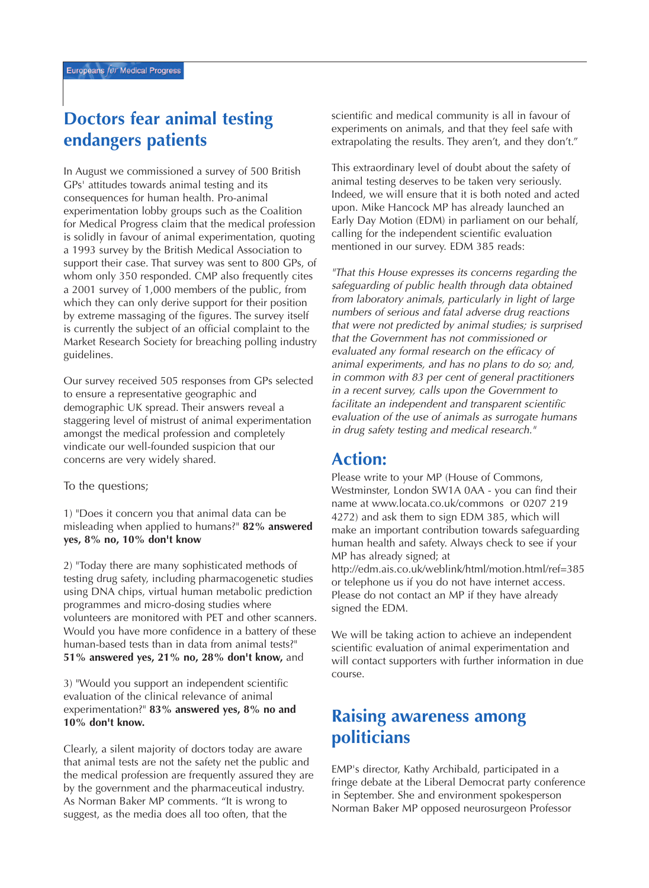# **Doctors fear animal testing endangers patients**

In August we commissioned a survey of 500 British GPs' attitudes towards animal testing and its consequences for human health. Pro-animal experimentation lobby groups such as the Coalition for Medical Progress claim that the medical profession is solidly in favour of animal experimentation, quoting a 1993 survey by the British Medical Association to support their case. That survey was sent to 800 GPs, of whom only 350 responded. CMP also frequently cites a 2001 survey of 1,000 members of the public, from which they can only derive support for their position by extreme massaging of the figures. The survey itself is currently the subject of an official complaint to the Market Research Society for breaching polling industry guidelines.

Our survey received 505 responses from GPs selected to ensure a representative geographic and demographic UK spread. Their answers reveal a staggering level of mistrust of animal experimentation amongst the medical profession and completely vindicate our well-founded suspicion that our concerns are very widely shared.

To the questions;

1) "Does it concern you that animal data can be misleading when applied to humans?" **82% answered yes, 8% no, 10% don't know**

2) "Today there are many sophisticated methods of testing drug safety, including pharmacogenetic studies using DNA chips, virtual human metabolic prediction programmes and micro-dosing studies where volunteers are monitored with PET and other scanners. Would you have more confidence in a battery of these human-based tests than in data from animal tests?" **51% answered yes, 21% no, 28% don't know,** and

3) "Would you support an independent scientific evaluation of the clinical relevance of animal experimentation?" **83% answered yes, 8% no and 10% don't know.**

Clearly, a silent majority of doctors today are aware that animal tests are not the safety net the public and the medical profession are frequently assured they are by the government and the pharmaceutical industry. As Norman Baker MP comments. "It is wrong to suggest, as the media does all too often, that the

scientific and medical community is all in favour of experiments on animals, and that they feel safe with extrapolating the results. They aren't, and they don't."

This extraordinary level of doubt about the safety of animal testing deserves to be taken very seriously. Indeed, we will ensure that it is both noted and acted upon. Mike Hancock MP has already launched an Early Day Motion (EDM) in parliament on our behalf, calling for the independent scientific evaluation mentioned in our survey. EDM 385 reads:

*"That this House expresses its concerns regarding the safeguarding of public health through data obtained from laboratory animals, particularly in light of large numbers of serious and fatal adverse drug reactions that were not predicted by animal studies; is surprised that the Government has not commissioned or evaluated any formal research on the efficacy of animal experiments, and has no plans to do so; and, in common with 83 per cent of general practitioners in a recent survey, calls upon the Government to facilitate an independent and transparent scientific evaluation of the use of animals as surrogate humans in drug safety testing and medical research."*

### **Action:**

Please write to your MP (House of Commons, Westminster, London SW1A 0AA - you can find their name at www.locata.co.uk/commons or 0207 219 4272) and ask them to sign EDM 385, which will make an important contribution towards safeguarding human health and safety. Always check to see if your MP has already signed; at

http://edm.ais.co.uk/weblink/html/motion.html/ref=385 or telephone us if you do not have internet access. Please do not contact an MP if they have already signed the EDM.

We will be taking action to achieve an independent scientific evaluation of animal experimentation and will contact supporters with further information in due course.

# **Raising awareness among politicians**

EMP's director, Kathy Archibald, participated in a fringe debate at the Liberal Democrat party conference in September. She and environment spokesperson Norman Baker MP opposed neurosurgeon Professor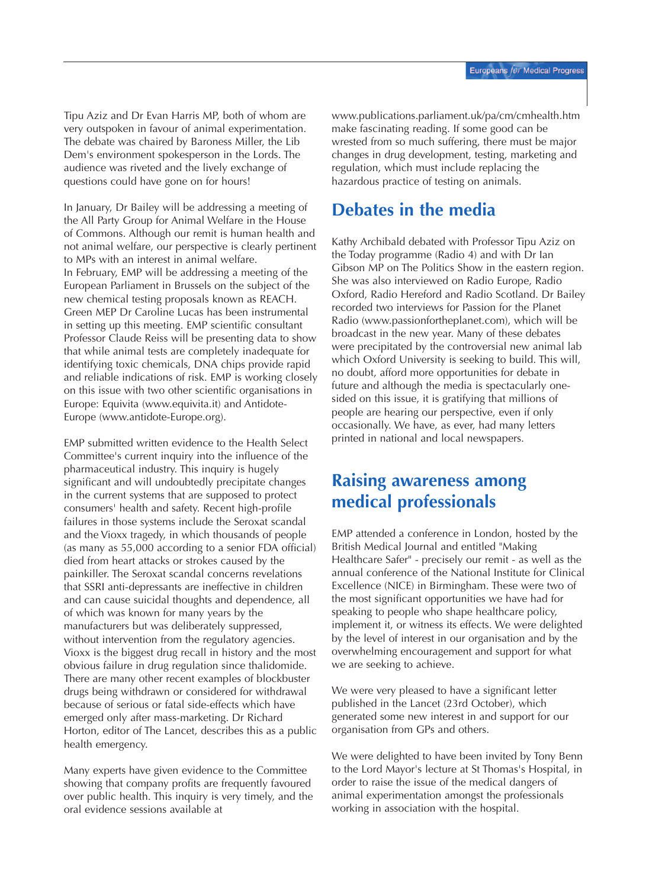Tipu Aziz and Dr Evan Harris MP, both of whom are very outspoken in favour of animal experimentation. The debate was chaired by Baroness Miller, the Lib Dem's environment spokesperson in the Lords. The audience was riveted and the lively exchange of questions could have gone on for hours!

In January, Dr Bailey will be addressing a meeting of the All Party Group for Animal Welfare in the House of Commons. Although our remit is human health and not animal welfare, our perspective is clearly pertinent to MPs with an interest in animal welfare. In February, EMP will be addressing a meeting of the European Parliament in Brussels on the subject of the new chemical testing proposals known as REACH. Green MEP Dr Caroline Lucas has been instrumental in setting up this meeting. EMP scientific consultant Professor Claude Reiss will be presenting data to show that while animal tests are completely inadequate for identifying toxic chemicals, DNA chips provide rapid and reliable indications of risk. EMP is working closely on this issue with two other scientific organisations in Europe: Equivita (www.equivita.it) and Antidote-Europe (www.antidote-Europe.org).

EMP submitted written evidence to the Health Select Committee's current inquiry into the influence of the pharmaceutical industry. This inquiry is hugely significant and will undoubtedly precipitate changes in the current systems that are supposed to protect consumers' health and safety. Recent high-profile failures in those systems include the Seroxat scandal and the Vioxx tragedy, in which thousands of people (as many as 55,000 according to a senior FDA official) died from heart attacks or strokes caused by the painkiller. The Seroxat scandal concerns revelations that SSRI anti-depressants are ineffective in children and can cause suicidal thoughts and dependence, all of which was known for many years by the manufacturers but was deliberately suppressed, without intervention from the regulatory agencies. Vioxx is the biggest drug recall in history and the most obvious failure in drug regulation since thalidomide. There are many other recent examples of blockbuster drugs being withdrawn or considered for withdrawal because of serious or fatal side-effects which have emerged only after mass-marketing. Dr Richard Horton, editor of The Lancet, describes this as a public health emergency.

Many experts have given evidence to the Committee showing that company profits are frequently favoured over public health. This inquiry is very timely, and the oral evidence sessions available at

www.publications.parliament.uk/pa/cm/cmhealth.htm make fascinating reading. If some good can be wrested from so much suffering, there must be major changes in drug development, testing, marketing and regulation, which must include replacing the hazardous practice of testing on animals.

# **Debates in the media**

Kathy Archibald debated with Professor Tipu Aziz on the Today programme (Radio 4) and with Dr Ian Gibson MP on The Politics Show in the eastern region. She was also interviewed on Radio Europe, Radio Oxford, Radio Hereford and Radio Scotland. Dr Bailey recorded two interviews for Passion for the Planet Radio (www.passionfortheplanet.com), which will be broadcast in the new year. Many of these debates were precipitated by the controversial new animal lab which Oxford University is seeking to build. This will, no doubt, afford more opportunities for debate in future and although the media is spectacularly onesided on this issue, it is gratifying that millions of people are hearing our perspective, even if only occasionally. We have, as ever, had many letters printed in national and local newspapers.

## **Raising awareness among medical professionals**

EMP attended a conference in London, hosted by the British Medical Journal and entitled "Making Healthcare Safer" - precisely our remit - as well as the annual conference of the National Institute for Clinical Excellence (NICE) in Birmingham. These were two of the most significant opportunities we have had for speaking to people who shape healthcare policy, implement it, or witness its effects. We were delighted by the level of interest in our organisation and by the overwhelming encouragement and support for what we are seeking to achieve.

We were very pleased to have a significant letter published in the Lancet (23rd October), which generated some new interest in and support for our organisation from GPs and others.

We were delighted to have been invited by Tony Benn to the Lord Mayor's lecture at St Thomas's Hospital, in order to raise the issue of the medical dangers of animal experimentation amongst the professionals working in association with the hospital.